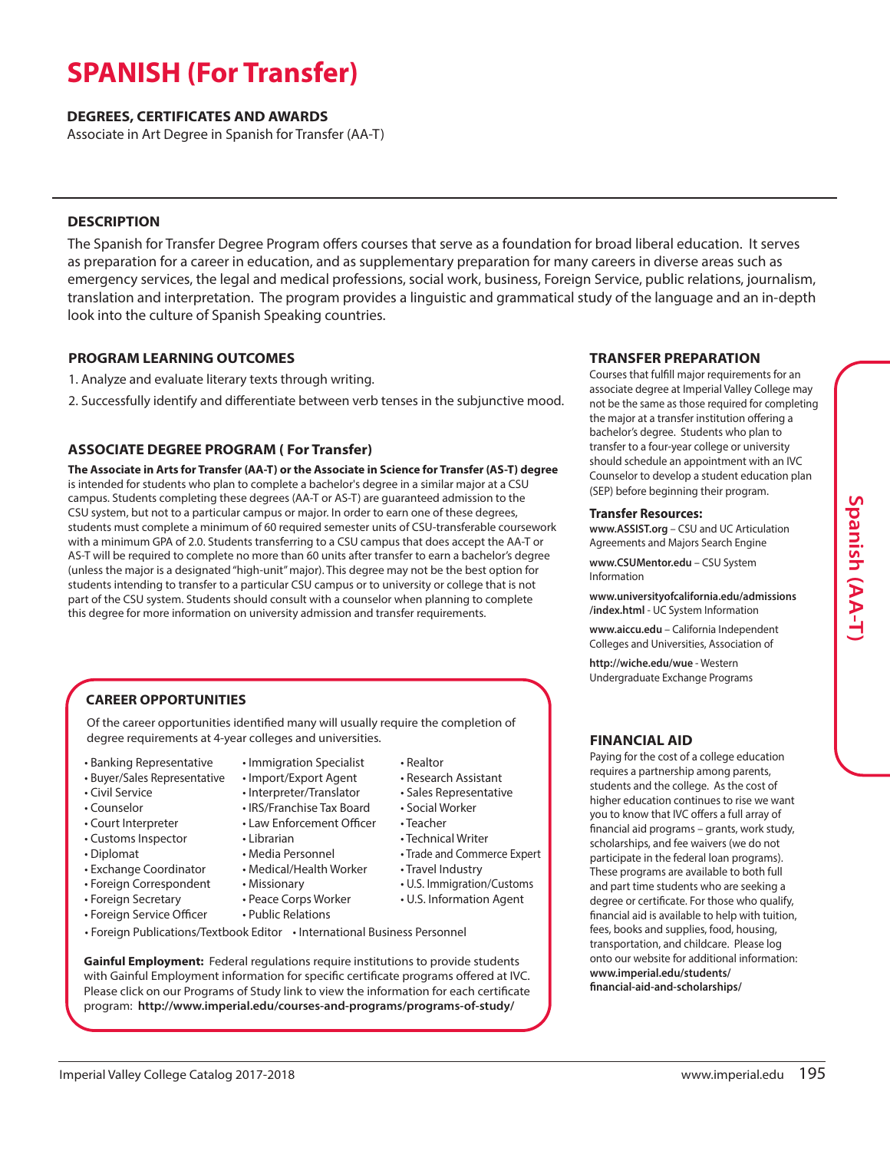# **SPANISH (For Transfer)**

### **DEGREES, CERTIFICATES AND AWARDS**

Associate in Art Degree in Spanish for Transfer (AA-T)

# **DESCRIPTION**

The Spanish for Transfer Degree Program offers courses that serve as a foundation for broad liberal education. It serves as preparation for a career in education, and as supplementary preparation for many careers in diverse areas such as emergency services, the legal and medical professions, social work, business, Foreign Service, public relations, journalism, translation and interpretation. The program provides a linguistic and grammatical study of the language and an in-depth look into the culture of Spanish Speaking countries.

# **PROGRAM LEARNING OUTCOMES**

- 1. Analyze and evaluate literary texts through writing.
- 2. Successfully identify and differentiate between verb tenses in the subjunctive mood.

# **ASSOCIATE DEGREE PROGRAM ( For Transfer)**

**The Associate in Arts for Transfer (AA-T) or the Associate in Science for Transfer (AS-T) degree** is intended for students who plan to complete a bachelor's degree in a similar major at a CSU campus. Students completing these degrees (AA-T or AS-T) are guaranteed admission to the CSU system, but not to a particular campus or major. In order to earn one of these degrees, students must complete a minimum of 60 required semester units of CSU-transferable coursework with a minimum GPA of 2.0. Students transferring to a CSU campus that does accept the AA-T or AS-T will be required to complete no more than 60 units after transfer to earn a bachelor's degree (unless the major is a designated"high-unit"major). This degree may not be the best option for students intending to transfer to a particular CSU campus or to university or college that is not part of the CSU system. Students should consult with a counselor when planning to complete this degree for more information on university admission and transfer requirements.

# **CAREER OPPORTUNITIES**

Of the career opportunities identified many will usually require the completion of degree requirements at 4-year colleges and universities.

• Immigration Specialist

- Banking Representative
- Buyer/Sales Representative
- Civil Service
- Counselor
- Court Interpreter
- Customs Inspector
- Diplomat
- Exchange Coordinator
- Foreign Correspondent
- Foreign Secretary
- Foreign Service Officer
- Import/Export Agent
- Interpreter/Translator
- IRS/Franchise Tax Board • Law Enforcement Officer
	-
- Librarian
- Media Personnel
- Medical/Health Worker
- Missionary • Peace Corps Worker
- 
- Public Relations
- Realtor
- Research Assistant
- Sales Representative
- Social Worker
- Teacher
- Technical Writer
	- Trade and Commerce Expert
	- Travel Industry
- U.S. Immigration/Customs
- U.S. Information Agent
- 
- Foreign Publications/Textbook Editor International Business Personnel

**Gainful Employment:** Federal regulations require institutions to provide students with Gainful Employment information for specific certificate programs offered at IVC. Please click on our Programs of Study link to view the information for each certificate program: **http://www.imperial.edu/courses-and-programs/programs-of-study/**

# **TRANSFER PREPARATION**

Courses that fulfill major requirements for an associate degree at Imperial Valley College may not be the same as those required for completing the major at a transfer institution offering a bachelor's degree. Students who plan to transfer to a four-year college or university should schedule an appointment with an IVC Counselor to develop a student education plan (SEP) before beginning their program.

#### **Transfer Resources:**

**www.ASSIST.org** – CSU and UC Articulation Agreements and Majors Search Engine

**www.CSUMentor.edu** – CSU System Information

**www.universityofcalifornia.edu/admissions /index.html** - UC System Information

**www.aiccu.edu** – California Independent Colleges and Universities, Association of

**http://wiche.edu/wue** - Western Undergraduate Exchange Programs

# **FINANCIAL AID**

Paying for the cost of a college education requires a partnership among parents, students and the college. As the cost of higher education continues to rise we want you to know that IVC offers a full array of financial aid programs – grants, work study, scholarships, and fee waivers (we do not participate in the federal loan programs). These programs are available to both full and part time students who are seeking a degree or certificate. For those who qualify, financial aid is available to help with tuition, fees, books and supplies, food, housing, transportation, and childcare. Please log onto our website for additional information: **www.imperial.edu/students/ financial-aid-and-scholarships/**

# **S p a nis h (A A-T)**